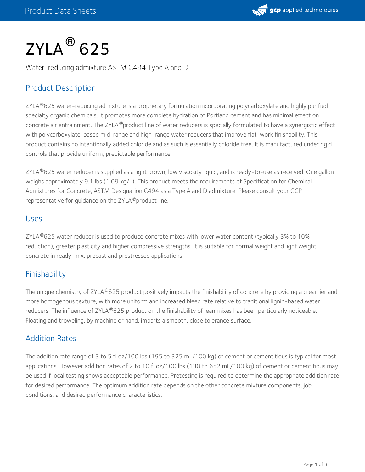

# $\mathsf{ZYLA}^{\circledR}$  625

Water-reducing admixture ASTM C494 Type A and D

# Product Description

ZYLA®625 water-reducing admixture is a proprietary formulation incorporating polycarboxylate and highly purified specialty organic chemicals. It promotes more complete hydration of Portland cement and has minimal effect on concrete air entrainment. The ZYLA ®product line of water reducers is specially formulated to have a synergistic effect with polycarboxylate-based mid-range and high-range water reducers that improve flat-work finishability. This product contains no intentionally added chloride and as such is essentially chloride free. It is manufactured under rigid controls that provide uniform, predictable performance.

ZYLA®625 water reducer is supplied as a light brown, low viscosity liquid, and is ready-to-use as received. One gallon weighs approximately 9.1 lbs (1.09 kg/L). This product meets the requirements of Specification for Chemical Admixtures for Concrete, ASTM Designation C494 as a Type A and D admixture. Please consult your GCP representative for guidance on the ZYLA ®product line.

#### Uses

ZYLA®625 water reducer is used to produce concrete mixes with lower water content (typically 3% to 10%  $\,$ reduction), greater plasticity and higher compressive strengths. It is suitable for normal weight and light weight concrete in ready-mix, precast and prestressed applications.

## Finishability

The unique chemistry of ZYLA®625 product positively impacts the finishability of concrete by providing a creamier and more homogenous texture, with more uniform and increased bleed rate relative to traditional lignin-based water reducers. The influence of ZYLA®625 product on the finishability of lean mixes has been particularly noticeable. Floating and troweling, by machine or hand, imparts a smooth, close tolerance surface.

## Addition Rates

The addition rate range of 3 to 5 fl oz/100 lbs (195 to 325 mL/100 kg) of cement or cementitious is typical for most applications. However addition rates of 2 to 10 fl oz/100 lbs (130 to 652 mL/100 kg) of cement or cementitious may be used if local testing shows acceptable performance. Pretesting is required to determine the appropriate addition rate for desired performance. The optimum addition rate depends on the other concrete mixture components, job conditions, and desired performance characteristics.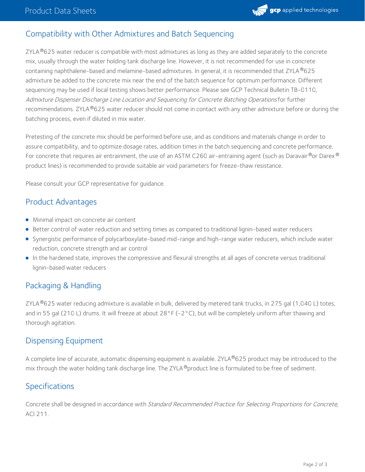

## Compatibility with Other Admixtures and Batch Sequencing

ZYLA $^\circledR$ 625 water reducer is compatible with most admixtures as long as they are added separately to the concrete mix, usually through the water holding tank discharge line. However, it is not recommended for use in concrete containing naphthalene-based and melamine-based admixtures. In general, it is recommended that ZYLA®625 admixture be added to the concrete mix near the end of the batch sequence for optimum performance. Different sequencing may be used if local testing shows better performance. Please see GCP Technical Bulletin TB-0110, Admixture Dispenser Discharge Line Location and Sequencing for Concrete Batching Operations for further recommendations. ZYLA®625 water reducer should not come in contact with any other admixture before or during the batching process, even if diluted in mix water.

Pretesting of the concrete mix should be performed before use, and as conditions and materials change in order to assure compatibility, and to optimize dosage rates, addition times in the batch sequencing and concrete performance. For concrete that requires air entrainment, the use of an ASTM C260 air-entraining agent (such as Daravair $^\circ$ or Darex $^\circ$ product lines) is recommended to provide suitable air void parameters for freeze-thaw resistance.

Please consult your GCP representative for guidance.

#### Product Advantages

- Minimal impact on concrete air content
- Better control of water reduction and setting times as compared to traditional lignin-based water reducers
- Synergistic performance of polycarboxylate-based mid-range and high-range water reducers, which include water reduction, concrete strength and air control
- In the hardened state, improves the compressive and flexural strengths at all ages of concrete versus traditional lignin-based water reducers

## Packaging & Handling

ZYLA®625 water reducing admixture is available in bulk, delivered by metered tank trucks, in 275 gal (1,040 L) totes, and in 55 gal (210 L) drums. It will freeze at about 28°F (-2°C), but will be completely uniform after thawing and thorough agitation.

#### Dispensing Equipment

A complete line of accurate, automatic dispensing equipment is available. ZYLA®625 product may be introduced to the mix through the water holding tank discharge line. The ZYLA®product line is formulated to be free of sediment.

## Specifications

Concrete shall be designed in accordance with Standard Recommended Practice for Selecting Proportions for Concrete, ACI 211.